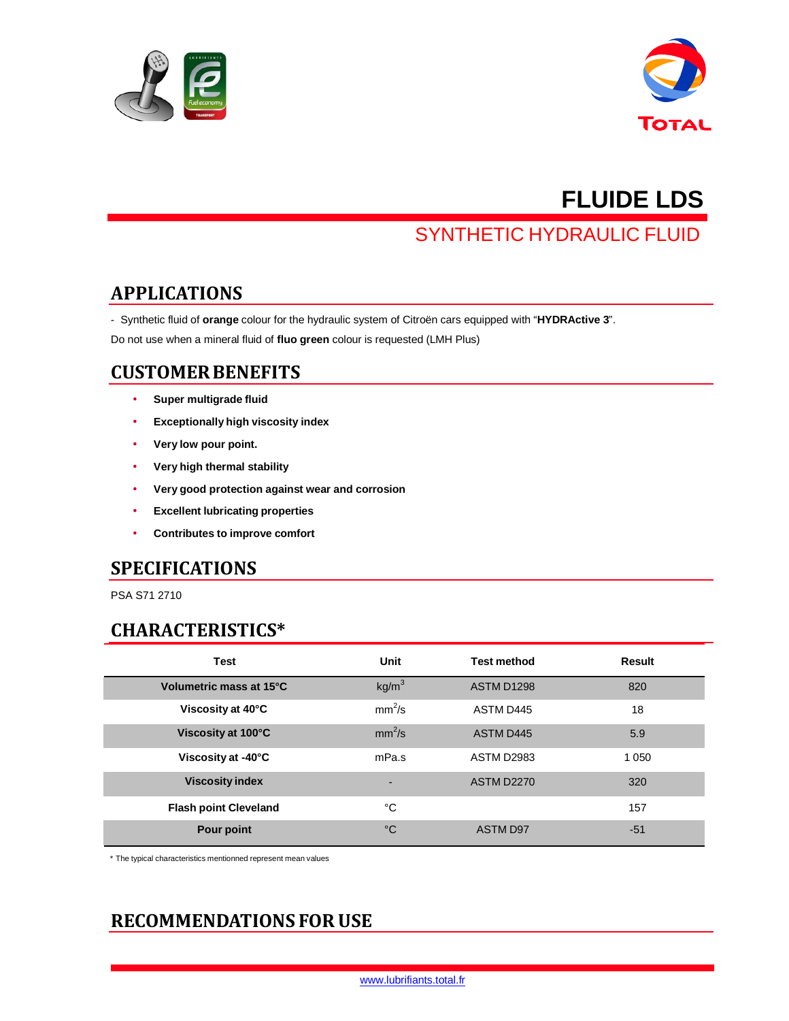



# **FLUIDE LDS**

## SYNTHETIC HYDRAULIC FLUID

#### **APPLICATIONS**

- Synthetic fluid of **orange** colour for the hydraulic system of Citroën cars equipped with "**HYDRActive 3**".

Do not use when a mineral fluid of **fluo green** colour is requested (LMH Plus)

#### **CUSTOMER BENEFITS**

- **Super multigrade fluid**
- **Exceptionally high viscosity index**
- **Very low pour point.**
- **Very high thermal stability**
- **Very good protection against wear and corrosion**
- **Excellent lubricating properties**
- **Contributes to improve comfort**

#### **SPECIFICATIONS**

PSA S71 2710

#### **CHARACTERISTICS\***

| <b>Test</b>                  | Unit              | <b>Test method</b> | Result  |
|------------------------------|-------------------|--------------------|---------|
| Volumetric mass at 15°C      | kg/m <sup>3</sup> | ASTM D1298         | 820     |
| Viscosity at 40°C            | $mm^2/s$          | ASTM D445          | 18      |
| Viscosity at 100°C           | $mm^2/s$          | <b>ASTM D445</b>   | 5.9     |
| Viscosity at -40°C           | mPa.s             | <b>ASTM D2983</b>  | 1 0 5 0 |
| <b>Viscosity index</b>       |                   | <b>ASTM D2270</b>  | 320     |
| <b>Flash point Cleveland</b> | °C                |                    | 157     |
| Pour point                   | $^{\circ}C$       | <b>ASTM D97</b>    | $-51$   |

\* The typical characteristics mentionned represent mean values

### **RECOMMENDATIONS FOR USE**